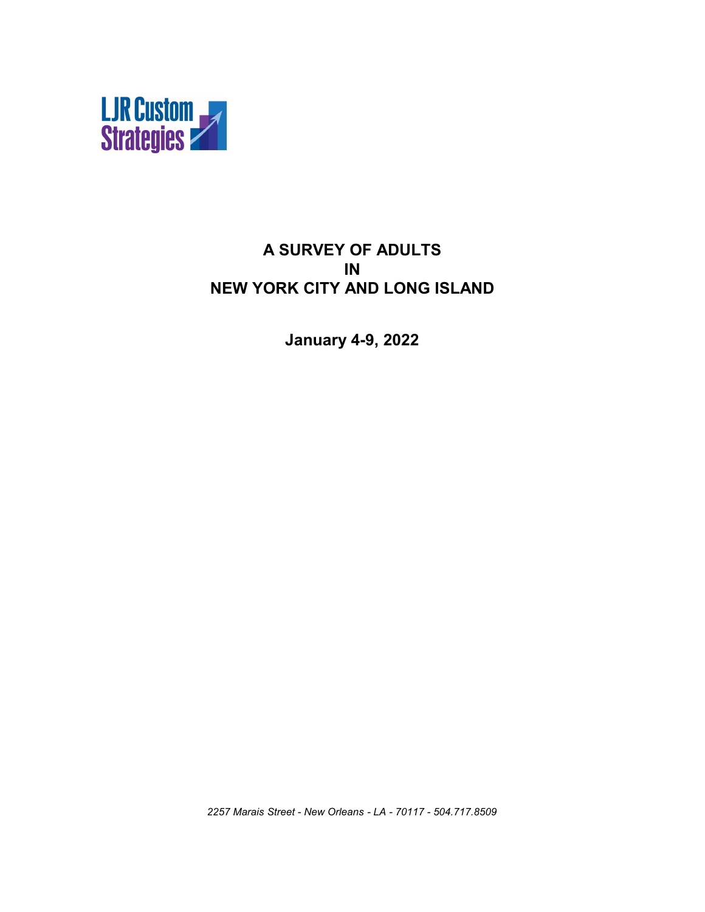

#### **A SURVEY OF ADULTS IN NEW YORK CITY AND LONG ISLAND**

**January 4-9, 2022**

*2257 Marais Street - New Orleans - LA - 70117 - 504.717.8509*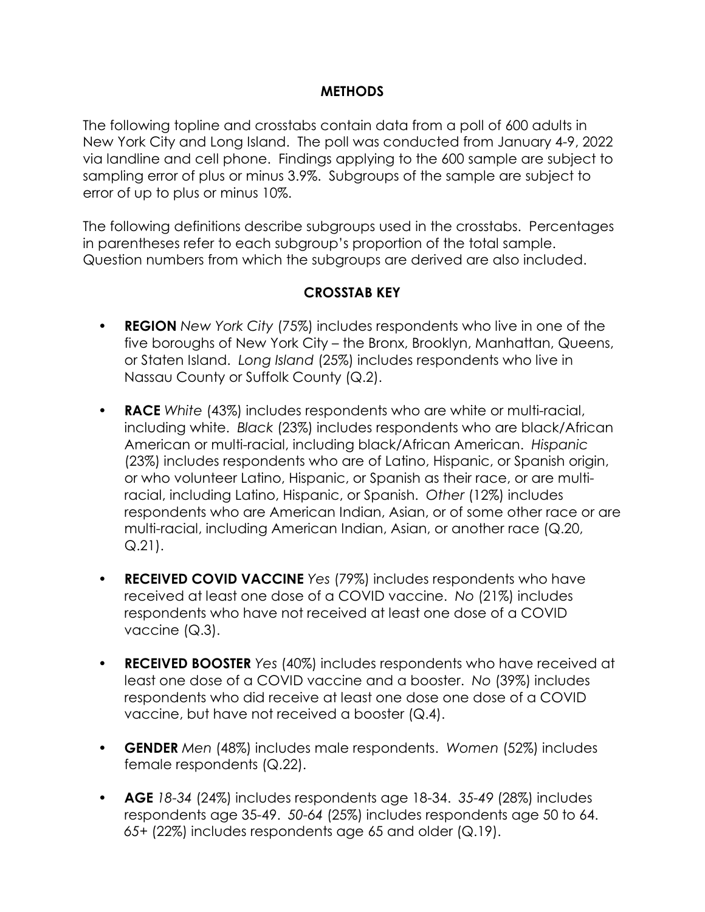#### **METHODS**

The following topline and crosstabs contain data from a poll of 600 adults in New York City and Long Island. The poll was conducted from January 4-9, 2022 via landline and cell phone. Findings applying to the 600 sample are subject to sampling error of plus or minus 3.9%. Subgroups of the sample are subject to error of up to plus or minus 10%.

The following definitions describe subgroups used in the crosstabs. Percentages in parentheses refer to each subgroup's proportion of the total sample. Question numbers from which the subgroups are derived are also included.

#### **CROSSTAB KEY**

- **REGION** *New York City* (75%) includes respondents who live in one of the five boroughs of New York City – the Bronx, Brooklyn, Manhattan, Queens, or Staten Island. *Long Island* (25%) includes respondents who live in Nassau County or Suffolk County (Q.2).
- **RACE** *White* (43%) includes respondents who are white or multi-racial, including white. *Black* (23%) includes respondents who are black/African American or multi-racial, including black/African American. *Hispanic* (23%) includes respondents who are of Latino, Hispanic, or Spanish origin, or who volunteer Latino, Hispanic, or Spanish as their race, or are multiracial, including Latino, Hispanic, or Spanish. *Other* (12%) includes respondents who are American Indian, Asian, or of some other race or are multi-racial, including American Indian, Asian, or another race (Q.20, Q.21).
- **RECEIVED COVID VACCINE** *Yes* (79%) includes respondents who have received at least one dose of a COVID vaccine. *No* (21%) includes respondents who have not received at least one dose of a COVID vaccine (Q.3).
- **RECEIVED BOOSTER** *Yes* (40%) includes respondents who have received at least one dose of a COVID vaccine and a booster. *No* (39%) includes respondents who did receive at least one dose one dose of a COVID vaccine, but have not received a booster (Q.4).
- **GENDER** *Men* (48%) includes male respondents. *Women* (52%) includes female respondents (Q.22).
- **AGE** *18-34* (24%) includes respondents age 18-34. *35-49* (28%) includes respondents age 35-49. *50-64* (25%) includes respondents age 50 to 64. *65+* (22%) includes respondents age 65 and older (Q.19).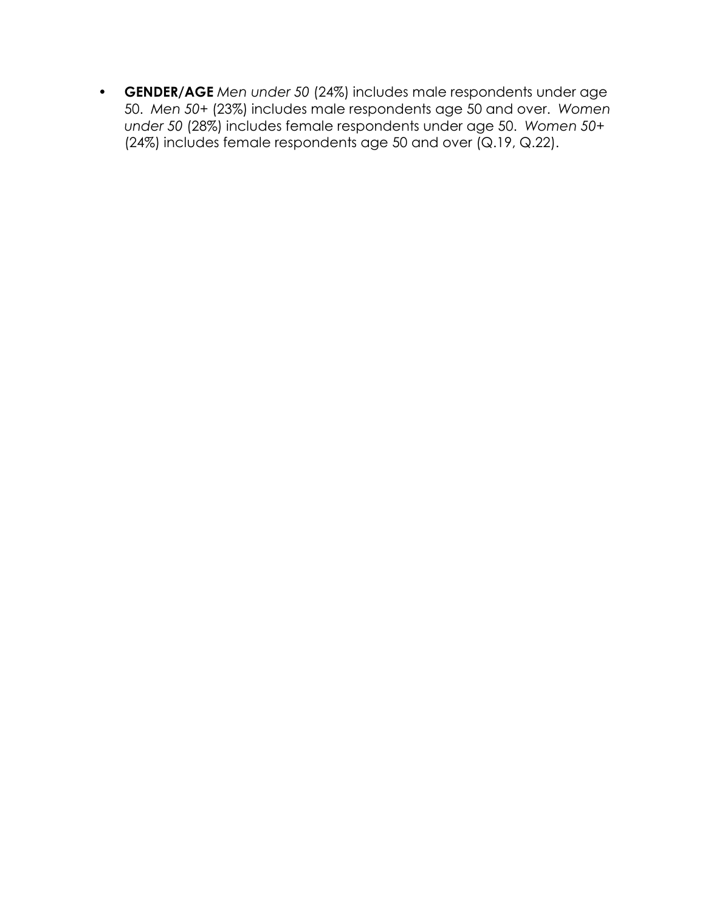• **GENDER/AGE** *Men under 50* (24%) includes male respondents under age 50. *Men 50+* (23%) includes male respondents age 50 and over. *Women under 50* (28%) includes female respondents under age 50. *Women 50+* (24%) includes female respondents age 50 and over (Q.19, Q.22).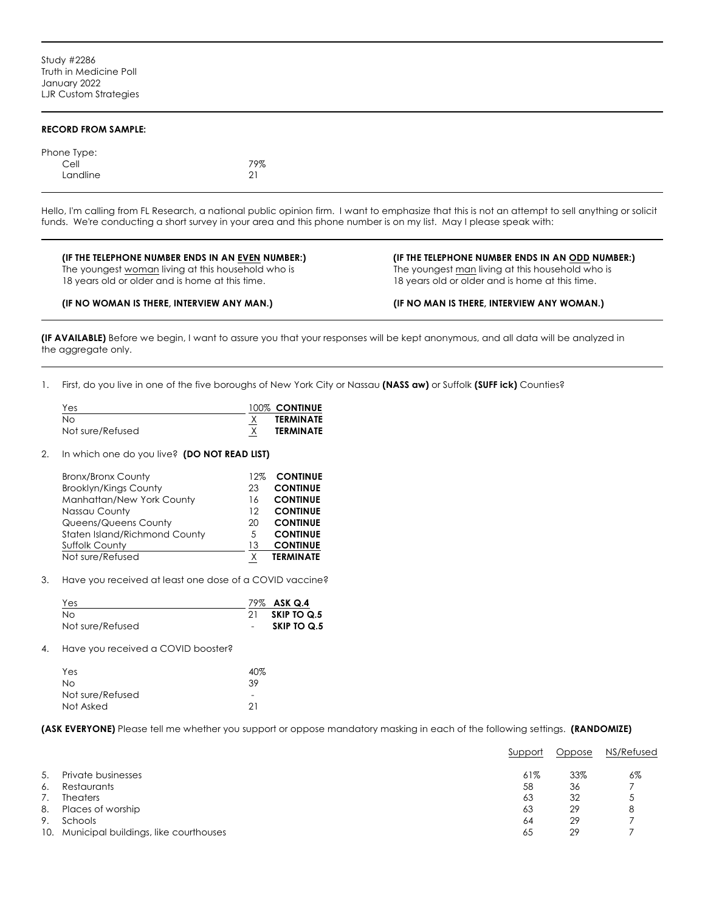#### **RECORD FROM SAMPLE:**

| Phone Type: |     |
|-------------|-----|
| Cell        | 79% |
| Landline    | 21  |

Hello, I'm calling from FL Research, a national public opinion firm. I want to emphasize that this is not an attempt to sell anything or solicit funds. We're conducting a short survey in your area and this phone number is on my list. May I please speak with:

#### **(IF THE TELEPHONE NUMBER ENDS IN AN EVEN NUMBER:) (IF THE TELEPHONE NUMBER ENDS IN AN ODD NUMBER:)** The youngest woman living at this household who is The youngest man living at this household who is 18 years old or older and is home at this time. 18 years old or older and is home at this time.

#### **(IF NO WOMAN IS THERE, INTERVIEW ANY MAN.) (IF NO MAN IS THERE, INTERVIEW ANY WOMAN.)**

**(IF AVAILABLE)** Before we begin, I want to assure you that your responses will be kept anonymous, and all data will be analyzed in the aggregate only.

1. First, do you live in one of the five boroughs of New York City or Nassau **(NASS aw)** or Suffolk **(SUFF ick)** Counties?

| Yes              | 100% CONTINUE    |
|------------------|------------------|
| No.              | <b>TERMINATE</b> |
| Not sure/Refused | <b>TERMINATE</b> |

2. In which one do you live? **(DO NOT READ LIST)**

| <b>Bronx/Bronx County</b>     | 12% | <b>CONTINUE</b>  |
|-------------------------------|-----|------------------|
| <b>Brooklyn/Kings County</b>  | 23  | <b>CONTINUE</b>  |
| Manhattan/New York County     | 16  | <b>CONTINUE</b>  |
| Nassau County                 | 12  | <b>CONTINUE</b>  |
| Queens/Queens County          | 20  | <b>CONTINUE</b>  |
| Staten Island/Richmond County | 5   | <b>CONTINUE</b>  |
| <b>Suffolk County</b>         | 13  | <b>CONTINUE</b>  |
| Not sure/Refused              |     | <b>TERMINATE</b> |
|                               |     |                  |

3. Have you received at least one dose of a COVID vaccine?

| Yes              | 79% ASK Q.4 |
|------------------|-------------|
| No               | SKIP TO Q.5 |
| Not sure/Refused | SKIP TO Q.5 |

4. Have you received a COVID booster?

| Yes              | 40%                      |
|------------------|--------------------------|
| No               | .39                      |
| Not sure/Refused | $\overline{\phantom{a}}$ |
| Not Asked        | 21                       |

**(ASK EVERYONE)** Please tell me whether you support or oppose mandatory masking in each of the following settings. **(RANDOMIZE)**

|    |                                           | Support | Oppose | NS/Refused |
|----|-------------------------------------------|---------|--------|------------|
| 5. | Private businesses                        | 61%     | 33%    | 6%         |
| 6. | Restaurants                               | 58      | 36     |            |
|    | <b>Theaters</b>                           | 63      | 32     | C          |
| 8. | Places of worship                         | 63      | 29     | 8          |
| 9. | Schools                                   | 64      | 29     |            |
|    | 10. Municipal buildings, like courthouses | 65      | 29     |            |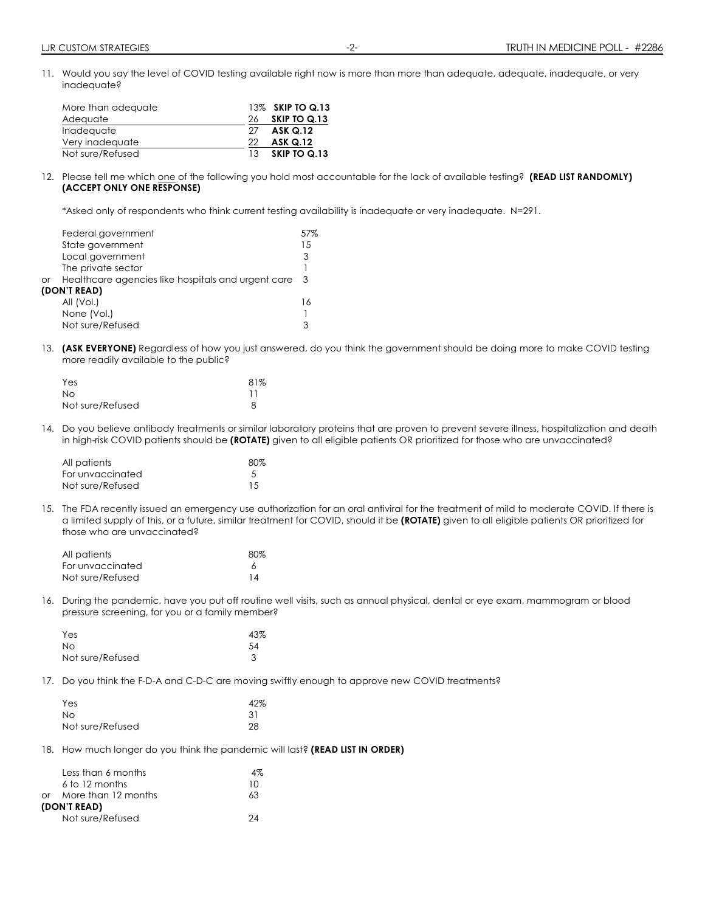11. Would you say the level of COVID testing available right now is more than more than adequate, adequate, inadequate, or very inadequate?

| More than adequate |     | 13% SKIP TO Q.13 |
|--------------------|-----|------------------|
| Adequate           | 26  | SKIP TO Q.13     |
| Inadequate         | 27  | <b>ASK Q.12</b>  |
| Very inadequate    | 22  | <b>ASK Q.12</b>  |
| Not sure/Refused   | 13. | SKIP TO Q.13     |

12. Please tell me which one of the following you hold most accountable for the lack of available testing? **(READ LIST RANDOMLY) (ACCEPT ONLY ONE RESPONSE)**

\*Asked only of respondents who think current testing availability is inadequate or very inadequate. N=291.

| Federal government                                       | 57% |
|----------------------------------------------------------|-----|
| State government                                         | 15  |
| Local government                                         | 3   |
| The private sector                                       |     |
| Healthcare agencies like hospitals and urgent care<br>or | -3  |
| (DON'T READ)                                             |     |
| All (Vol.)                                               | 16  |
| None (Vol.)                                              |     |
| Not sure/Refused                                         |     |

13. **(ASK EVERYONE)** Regardless of how you just answered, do you think the government should be doing more to make COVID testing more readily available to the public?

| Yes              | 81% |
|------------------|-----|
| Nο               |     |
| Not sure/Refused |     |

14. Do you believe antibody treatments or similar laboratory proteins that are proven to prevent severe illness, hospitalization and death in high-risk COVID patients should be **(ROTATE)** given to all eligible patients OR prioritized for those who are unvaccinated?

| All patients     | 80% |
|------------------|-----|
| For unvaccinated |     |
| Not sure/Refused | 1.5 |

15. The FDA recently issued an emergency use authorization for an oral antiviral for the treatment of mild to moderate COVID. If there is a limited supply of this, or a future, similar treatment for COVID, should it be **(ROTATE)** given to all eligible patients OR prioritized for those who are unvaccinated?

| All patients     | $80\%$ |
|------------------|--------|
| For unvaccinated |        |
| Not sure/Refused | 14     |

16. During the pandemic, have you put off routine well visits, such as annual physical, dental or eye exam, mammogram or blood pressure screening, for you or a family member?

| Yes              | 43% |
|------------------|-----|
| No.              | .54 |
| Not sure/Refused |     |

17. Do you think the F-D-A and C-D-C are moving swiftly enough to approve new COVID treatments?

| Yes              | 42% |
|------------------|-----|
| No.              | 31  |
| Not sure/Refused | 28  |

18. How much longer do you think the pandemic will last? **(READ LIST IN ORDER)**

|    | Less than 6 months  | 4% |
|----|---------------------|----|
|    | 6 to 12 months      | 10 |
| ∩r | More than 12 months | 63 |
|    | (DON'T READ)        |    |
|    | Not sure/Refused    |    |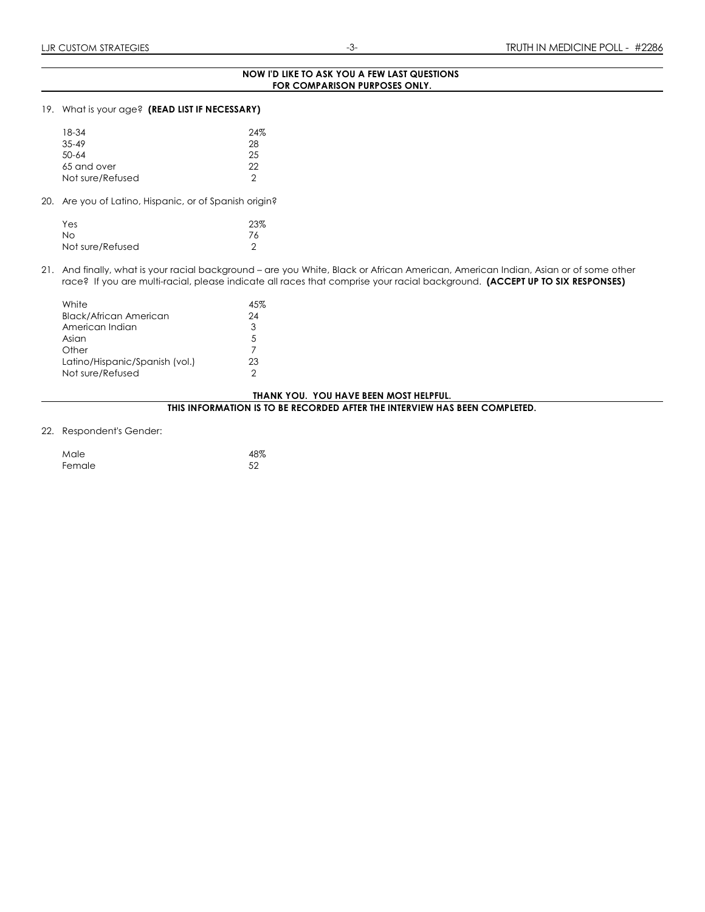#### **NOW I'D LIKE TO ASK YOU A FEW LAST QUESTIONS FOR COMPARISON PURPOSES ONLY.**

#### 19. What is your age? **(READ LIST IF NECESSARY)**

| 18-34            | 24% |
|------------------|-----|
| $35 - 49$        | 28  |
| $50 - 64$        | 25  |
| 65 and over      | 22  |
| Not sure/Refused | っ   |

20. Are you of Latino, Hispanic, or of Spanish origin?

| Yes              | 23% |
|------------------|-----|
| No.              | 76  |
| Not sure/Refused |     |

21. And finally, what is your racial background – are you White, Black or African American, American Indian, Asian or of some other race? If you are multi-racial, please indicate all races that comprise your racial background. **(ACCEPT UP TO SIX RESPONSES)**

| White                          | 45% |
|--------------------------------|-----|
| <b>Black/African American</b>  | 24  |
| American Indian                | 3   |
| Asian                          | -5  |
| Other                          | 7   |
| Latino/Hispanic/Spanish (vol.) | 23  |
| Not sure/Refused               | っ   |

#### **THANK YOU. YOU HAVE BEEN MOST HELPFUL.**

**THIS INFORMATION IS TO BE RECORDED AFTER THE INTERVIEW HAS BEEN COMPLETED.**

#### 22. Respondent's Gender:

| Male   | 48% |
|--------|-----|
| Female | 52  |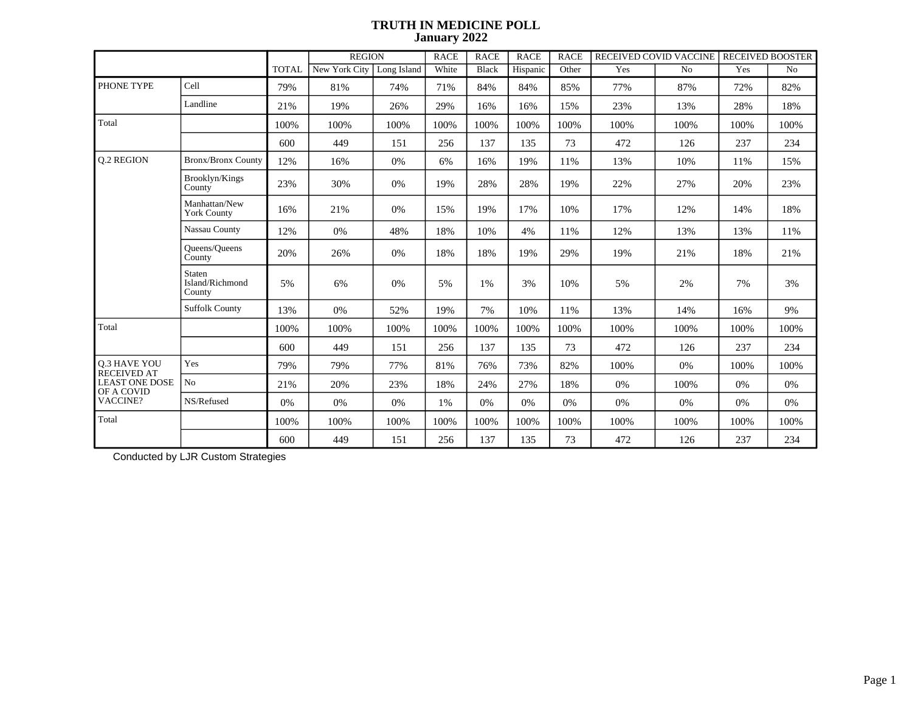|                                    |                                     |              | <b>REGION</b> |             | <b>RACE</b> | <b>RACE</b> | <b>RACE</b> | <b>RACE</b> | RECEIVED COVID VACCINE RECEIVED BOOSTER |      |      |      |
|------------------------------------|-------------------------------------|--------------|---------------|-------------|-------------|-------------|-------------|-------------|-----------------------------------------|------|------|------|
|                                    |                                     | <b>TOTAL</b> | New York City | Long Island | White       | Black       | Hispanic    | Other       | Yes                                     | No   | Yes  | No   |
| PHONE TYPE                         | Cell                                | 79%          | 81%           | 74%         | 71%         | 84%         | 84%         | 85%         | 77%                                     | 87%  | 72%  | 82%  |
|                                    | Landline                            | 21%          | 19%           | 26%         | 29%         | 16%         | 16%         | 15%         | 23%                                     | 13%  | 28%  | 18%  |
| Total                              |                                     | 100%         | 100%          | 100%        | 100%        | 100%        | 100%        | 100%        | 100%                                    | 100% | 100% | 100% |
|                                    |                                     | 600          | 449           | 151         | 256         | 137         | 135         | 73          | 472                                     | 126  | 237  | 234  |
| <b>0.2 REGION</b>                  | <b>Bronx/Bronx County</b>           | 12%          | 16%           | 0%          | 6%          | 16%         | 19%         | 11%         | 13%                                     | 10%  | 11%  | 15%  |
|                                    | Brooklyn/Kings<br>County            | 23%          | 30%           | $0\%$       | 19%         | 28%         | 28%         | 19%         | 22%                                     | 27%  | 20%  | 23%  |
|                                    | Manhattan/New<br><b>York County</b> | 16%          | 21%           | 0%          | 15%         | 19%         | 17%         | 10%         | 17%                                     | 12%  | 14%  | 18%  |
|                                    | Nassau County                       | 12%          | 0%            | 48%         | 18%         | 10%         | 4%          | 11%         | 12%                                     | 13%  | 13%  | 11%  |
|                                    | Queens/Queens<br>County             | 20%          | 26%           | 0%          | 18%         | 18%         | 19%         | 29%         | 19%                                     | 21%  | 18%  | 21%  |
|                                    | Staten<br>Island/Richmond<br>County | 5%           | 6%            | 0%          | 5%          | 1%          | 3%          | 10%         | 5%                                      | 2%   | 7%   | 3%   |
|                                    | <b>Suffolk County</b>               | 13%          | 0%            | 52%         | 19%         | 7%          | 10%         | 11%         | 13%                                     | 14%  | 16%  | 9%   |
| Total                              |                                     | 100%         | 100%          | 100%        | 100%        | 100%        | 100%        | 100%        | 100%                                    | 100% | 100% | 100% |
|                                    |                                     | 600          | 449           | 151         | 256         | 137         | 135         | 73          | 472                                     | 126  | 237  | 234  |
| Q.3 HAVE YOU<br><b>RECEIVED AT</b> | Yes                                 | 79%          | 79%           | 77%         | 81%         | 76%         | 73%         | 82%         | 100%                                    | 0%   | 100% | 100% |
| <b>LEAST ONE DOSE</b>              | No                                  | 21%          | 20%           | 23%         | 18%         | 24%         | 27%         | 18%         | 0%                                      | 100% | 0%   | 0%   |
| OF A COVID<br><b>VACCINE?</b>      | NS/Refused                          | 0%           | 0%            | 0%          | 1%          | 0%          | 0%          | 0%          | 0%                                      | 0%   | 0%   | 0%   |
| Total                              |                                     | 100%         | 100%          | 100%        | 100%        | 100%        | 100%        | 100%        | 100%                                    | 100% | 100% | 100% |
|                                    |                                     | 600          | 449           | 151         | 256         | 137         | 135         | 73          | 472                                     | 126  | 237  | 234  |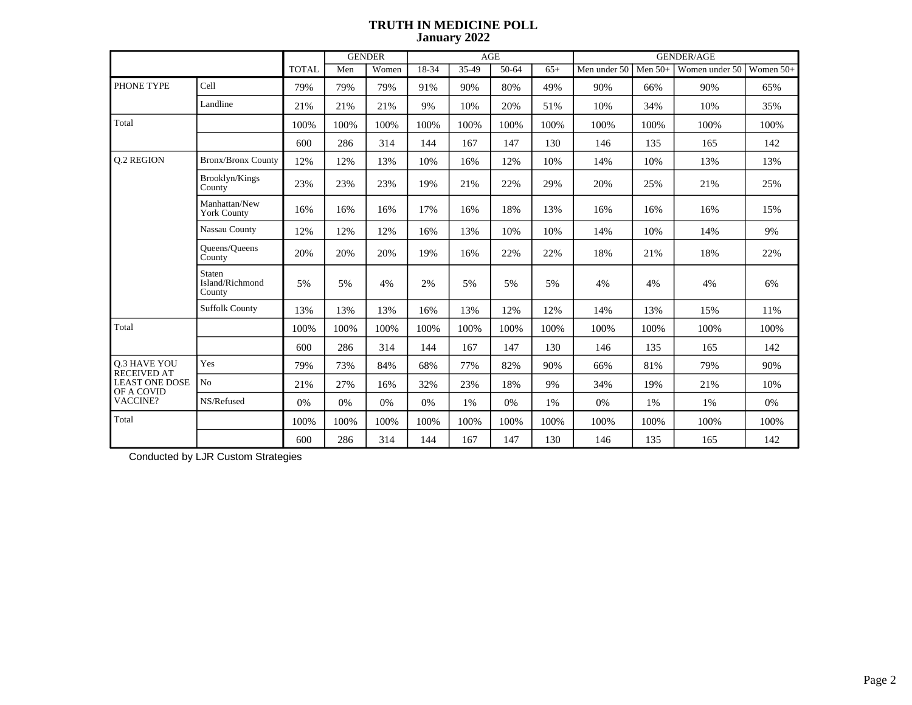|                                           |                                     |              |      | <b>GENDER</b> |       |       | AGE   |       | <b>GENDER/AGE</b> |           |                |             |
|-------------------------------------------|-------------------------------------|--------------|------|---------------|-------|-------|-------|-------|-------------------|-----------|----------------|-------------|
|                                           |                                     | <b>TOTAL</b> | Men  | Women         | 18-34 | 35-49 | 50-64 | $65+$ | Men under 50      | Men $50+$ | Women under 50 | Women $50+$ |
| PHONE TYPE                                | Cell                                | 79%          | 79%  | 79%           | 91%   | 90%   | 80%   | 49%   | 90%               | 66%       | 90%            | 65%         |
|                                           | Landline                            | 21%          | 21%  | 21%           | 9%    | 10%   | 20%   | 51%   | 10%               | 34%       | 10%            | 35%         |
| Total                                     |                                     | 100%         | 100% | 100%          | 100%  | 100%  | 100%  | 100%  | 100%              | 100%      | 100%           | 100%        |
|                                           |                                     | 600          | 286  | 314           | 144   | 167   | 147   | 130   | 146               | 135       | 165            | 142         |
| <b>0.2 REGION</b>                         | <b>Bronx/Bronx County</b>           | 12%          | 12%  | 13%           | 10%   | 16%   | 12%   | 10%   | 14%               | 10%       | 13%            | 13%         |
|                                           | Brooklyn/Kings<br>County            | 23%          | 23%  | 23%           | 19%   | 21%   | 22%   | 29%   | 20%               | 25%       | 21%            | 25%         |
|                                           | Manhattan/New<br><b>York County</b> | 16%          | 16%  | 16%           | 17%   | 16%   | 18%   | 13%   | 16%               | 16%       | 16%            | 15%         |
|                                           | Nassau County                       | 12%          | 12%  | 12%           | 16%   | 13%   | 10%   | 10%   | 14%               | 10%       | 14%            | 9%          |
|                                           | <b>Oueens/Oueens</b><br>County      | 20%          | 20%  | 20%           | 19%   | 16%   | 22%   | 22%   | 18%               | 21%       | 18%            | 22%         |
|                                           | Staten<br>Island/Richmond<br>County | 5%           | 5%   | 4%            | 2%    | 5%    | 5%    | 5%    | 4%                | 4%        | 4%             | 6%          |
|                                           | <b>Suffolk County</b>               | 13%          | 13%  | 13%           | 16%   | 13%   | 12%   | 12%   | 14%               | 13%       | 15%            | 11%         |
| Total                                     |                                     | 100%         | 100% | 100%          | 100%  | 100%  | 100%  | 100%  | 100%              | 100%      | 100%           | 100%        |
|                                           |                                     | 600          | 286  | 314           | 144   | 167   | 147   | 130   | 146               | 135       | 165            | 142         |
| <b>0.3 HAVE YOU</b><br><b>RECEIVED AT</b> | Yes                                 | 79%          | 73%  | 84%           | 68%   | 77%   | 82%   | 90%   | 66%               | 81%       | 79%            | 90%         |
| <b>LEAST ONE DOSE</b><br>OF A COVID       | No                                  | 21%          | 27%  | 16%           | 32%   | 23%   | 18%   | 9%    | 34%               | 19%       | 21%            | 10%         |
| VACCINE?                                  | NS/Refused                          | 0%           | 0%   | 0%            | 0%    | $1\%$ | 0%    | 1%    | 0%                | 1%        | 1%             | $0\%$       |
| Total                                     |                                     | 100%         | 100% | 100%          | 100%  | 100%  | 100%  | 100%  | 100%              | 100%      | 100%           | 100%        |
|                                           |                                     | 600          | 286  | 314           | 144   | 167   | 147   | 130   | 146               | 135       | 165            | 142         |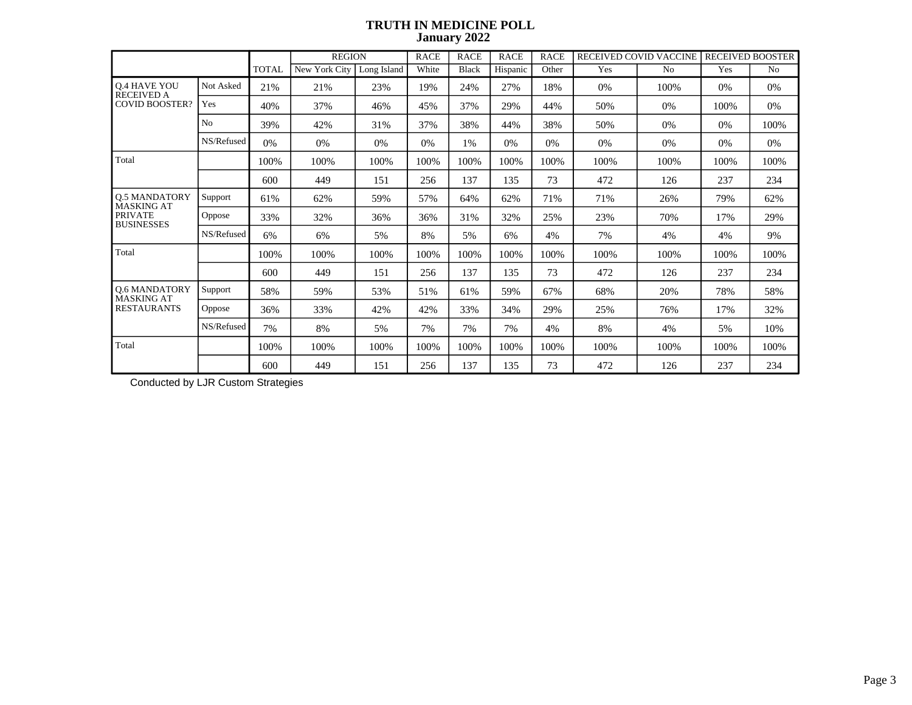|                                           |                |              | <b>REGION</b> |             | <b>RACE</b> | <b>RACE</b> | <b>RACE</b> | <b>RACE</b> |      | RECEIVED COVID VACCINE | <b>RECEIVED BOOSTER</b> |                |
|-------------------------------------------|----------------|--------------|---------------|-------------|-------------|-------------|-------------|-------------|------|------------------------|-------------------------|----------------|
|                                           |                | <b>TOTAL</b> | New York City | Long Island | White       | Black       | Hispanic    | Other       | Yes  | N <sub>0</sub>         | Yes                     | N <sub>0</sub> |
| <b>Q.4 HAVE YOU</b><br><b>RECEIVED A</b>  | Not Asked      | 21%          | 21%           | 23%         | 19%         | 24%         | 27%         | 18%         | 0%   | 100%                   | $0\%$                   | 0%             |
| <b>COVID BOOSTER?</b>                     | Yes            | 40%          | 37%           | 46%         | 45%         | 37%         | 29%         | 44%         | 50%  | 0%                     | 100%                    | 0%             |
|                                           | N <sub>0</sub> | 39%          | 42%           | 31%         | 37%         | 38%         | 44%         | 38%         | 50%  | 0%                     | 0%                      | 100%           |
|                                           | NS/Refused     | 0%           | 0%            | 0%          | 0%          | $1\%$       | 0%          | 0%          | 0%   | 0%                     | 0%                      | 0%             |
| Total                                     |                | 100%         | 100%          | 100%        | 100%        | 100%        | 100%        | 100%        | 100% | 100%                   | 100%                    | 100%           |
|                                           |                | 600          | 449           | 151         | 256         | 137         | 135         | 73          | 472  | 126                    | 237                     | 234            |
| <b>Q.5 MANDATORY</b><br><b>MASKING AT</b> | Support        | 61%          | 62%           | 59%         | 57%         | 64%         | 62%         | 71%         | 71%  | 26%                    | 79%                     | 62%            |
| <b>PRIVATE</b><br><b>BUSINESSES</b>       | Oppose         | 33%          | 32%           | 36%         | 36%         | 31%         | 32%         | 25%         | 23%  | 70%                    | 17%                     | 29%            |
|                                           | NS/Refused     | 6%           | 6%            | 5%          | 8%          | 5%          | 6%          | 4%          | 7%   | 4%                     | 4%                      | 9%             |
| Total                                     |                | 100%         | 100%          | 100%        | 100%        | 100%        | 100%        | 100%        | 100% | 100%                   | 100%                    | 100%           |
|                                           |                | 600          | 449           | 151         | 256         | 137         | 135         | 73          | 472  | 126                    | 237                     | 234            |
| <b>Q.6 MANDATORY</b><br><b>MASKING AT</b> | Support        | 58%          | 59%           | 53%         | 51%         | 61%         | 59%         | 67%         | 68%  | 20%                    | 78%                     | 58%            |
| <b>RESTAURANTS</b>                        | Oppose         | 36%          | 33%           | 42%         | 42%         | 33%         | 34%         | 29%         | 25%  | 76%                    | 17%                     | 32%            |
|                                           | NS/Refused     | 7%           | 8%            | 5%          | 7%          | 7%          | 7%          | 4%          | 8%   | 4%                     | 5%                      | 10%            |
| Total                                     |                | 100%         | 100%          | 100%        | 100%        | 100%        | 100%        | 100%        | 100% | 100%                   | 100%                    | 100%           |
|                                           |                | 600          | 449           | 151         | 256         | 137         | 135         | 73          | 472  | 126                    | 237                     | 234            |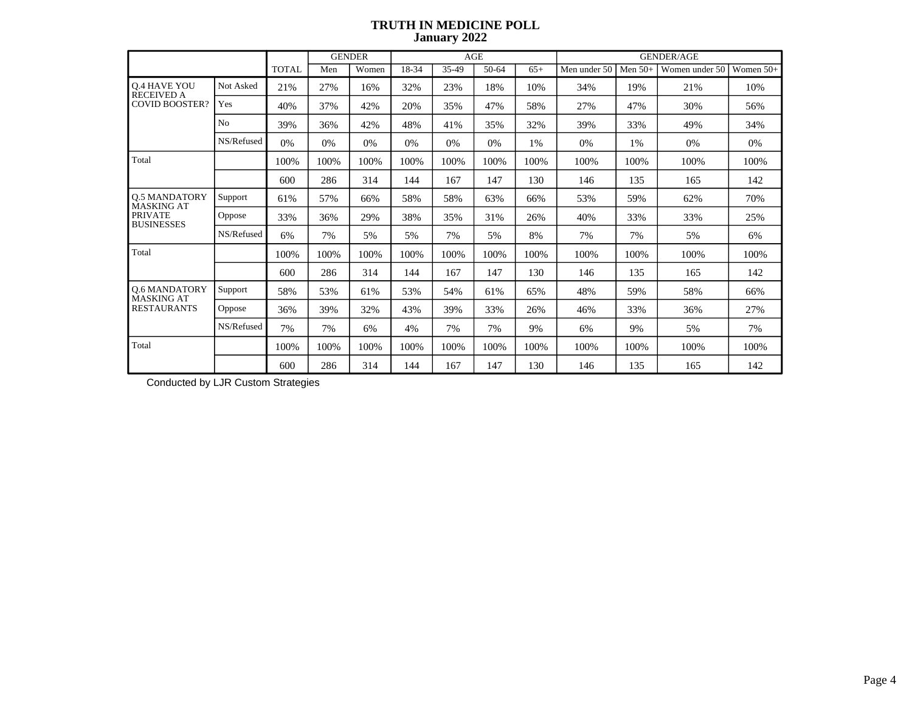|                                           |                |              | <b>GENDER</b> |       |       | <b>AGE</b> |       |       | <b>GENDER/AGE</b> |           |                |           |  |
|-------------------------------------------|----------------|--------------|---------------|-------|-------|------------|-------|-------|-------------------|-----------|----------------|-----------|--|
|                                           |                | <b>TOTAL</b> | Men           | Women | 18-34 | 35-49      | 50-64 | $65+$ | Men under 50      | Men $50+$ | Women under 50 | Women 50+ |  |
| <b>Q.4 HAVE YOU</b><br><b>RECEIVED A</b>  | Not Asked      | 21%          | 27%           | 16%   | 32%   | 23%        | 18%   | 10%   | 34%               | 19%       | 21%            | 10%       |  |
| <b>COVID BOOSTER?</b>                     | Yes            | 40%          | 37%           | 42%   | 20%   | 35%        | 47%   | 58%   | 27%               | 47%       | 30%            | 56%       |  |
|                                           | N <sub>o</sub> | 39%          | 36%           | 42%   | 48%   | 41%        | 35%   | 32%   | 39%               | 33%       | 49%            | 34%       |  |
|                                           | NS/Refused     | 0%           | 0%            | 0%    | 0%    | 0%         | 0%    | 1%    | 0%                | 1%        | 0%             | 0%        |  |
| Total                                     |                | 100%         | 100%          | 100%  | 100%  | 100%       | 100%  | 100%  | 100%              | 100%      | 100%           | 100%      |  |
|                                           |                | 600          | 286           | 314   | 144   | 167        | 147   | 130   | 146               | 135       | 165            | 142       |  |
| <b>0.5 MANDATORY</b><br><b>MASKING AT</b> | Support        | 61%          | 57%           | 66%   | 58%   | 58%        | 63%   | 66%   | 53%               | 59%       | 62%            | 70%       |  |
| <b>PRIVATE</b><br><b>BUSINESSES</b>       | Oppose         | 33%          | 36%           | 29%   | 38%   | 35%        | 31%   | 26%   | 40%               | 33%       | 33%            | 25%       |  |
|                                           | NS/Refused     | 6%           | 7%            | 5%    | 5%    | 7%         | 5%    | 8%    | 7%                | 7%        | 5%             | 6%        |  |
| Total                                     |                | 100%         | 100%          | 100%  | 100%  | 100%       | 100%  | 100%  | 100%              | 100%      | 100%           | 100%      |  |
|                                           |                | 600          | 286           | 314   | 144   | 167        | 147   | 130   | 146               | 135       | 165            | 142       |  |
| <b>0.6 MANDATORY</b><br><b>MASKING AT</b> | Support        | 58%          | 53%           | 61%   | 53%   | 54%        | 61%   | 65%   | 48%               | 59%       | 58%            | 66%       |  |
| <b>RESTAURANTS</b>                        | Oppose         | 36%          | 39%           | 32%   | 43%   | 39%        | 33%   | 26%   | 46%               | 33%       | 36%            | 27%       |  |
|                                           | NS/Refused     | 7%           | 7%            | 6%    | 4%    | 7%         | 7%    | 9%    | 6%                | 9%        | 5%             | 7%        |  |
| Total                                     |                | 100%         | 100%          | 100%  | 100%  | 100%       | 100%  | 100%  | 100%              | 100%      | 100%           | 100%      |  |
|                                           |                | 600          | 286           | 314   | 144   | 167        | 147   | 130   | 146               | 135       | 165            | 142       |  |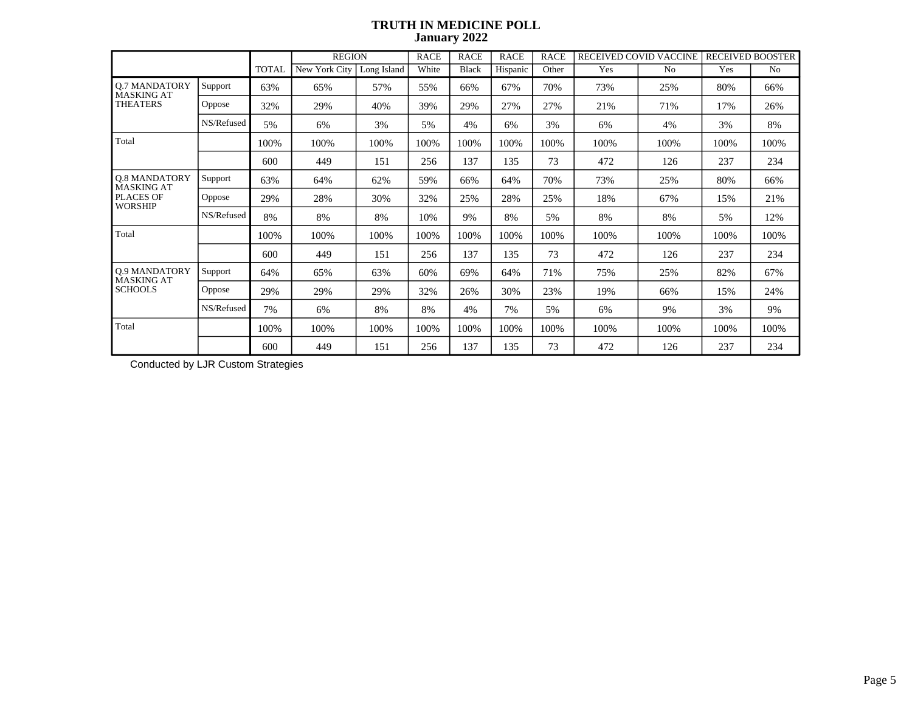|                                           |            |              | <b>REGION</b> |             | <b>RACE</b> | <b>RACE</b> | <b>RACE</b> | <b>RACE</b> |      | RECEIVED COVID VACCINE | <b>RECEIVED BOOSTER</b> |                |
|-------------------------------------------|------------|--------------|---------------|-------------|-------------|-------------|-------------|-------------|------|------------------------|-------------------------|----------------|
|                                           |            | <b>TOTAL</b> | New York City | Long Island | White       | Black       | Hispanic    | Other       | Yes  | N <sub>0</sub>         | Yes                     | N <sub>0</sub> |
| <b>Q.7 MANDATORY</b><br><b>MASKING AT</b> | Support    | 63%          | 65%           | 57%         | 55%         | 66%         | 67%         | 70%         | 73%  | 25%                    | 80%                     | 66%            |
| <b>THEATERS</b>                           | Oppose     | 32%          | 29%           | 40%         | 39%         | 29%         | 27%         | 27%         | 21%  | 71%                    | 17%                     | 26%            |
|                                           | NS/Refused | 5%           | 6%            | 3%          | 5%          | 4%          | 6%          | 3%          | 6%   | 4%                     | 3%                      | 8%             |
| Total                                     |            | 100%         | 100%          | 100%        | 100%        | 100%        | 100%        | 100%        | 100% | 100%                   | 100%                    | 100%           |
|                                           |            | 600          | 449           | 151         | 256         | 137         | 135         | 73          | 472  | 126                    | 237                     | 234            |
| <b>Q.8 MANDATORY</b><br><b>MASKING AT</b> | Support    | 63%          | 64%           | 62%         | 59%         | 66%         | 64%         | 70%         | 73%  | 25%                    | 80%                     | 66%            |
| <b>PLACES OF</b><br><b>WORSHIP</b>        | Oppose     | 29%          | 28%           | 30%         | 32%         | 25%         | 28%         | 25%         | 18%  | 67%                    | 15%                     | 21%            |
|                                           | NS/Refused | 8%           | 8%            | 8%          | 10%         | 9%          | 8%          | 5%          | 8%   | 8%                     | 5%                      | 12%            |
| Total                                     |            | 100%         | 100%          | 100%        | 100%        | 100%        | 100%        | 100%        | 100% | 100%                   | 100%                    | 100%           |
|                                           |            | 600          | 449           | 151         | 256         | 137         | 135         | 73          | 472  | 126                    | 237                     | 234            |
| <b>Q.9 MANDATORY</b><br><b>MASKING AT</b> | Support    | 64%          | 65%           | 63%         | 60%         | 69%         | 64%         | 71%         | 75%  | 25%                    | 82%                     | 67%            |
| <b>SCHOOLS</b>                            | Oppose     | 29%          | 29%           | 29%         | 32%         | 26%         | 30%         | 23%         | 19%  | 66%                    | 15%                     | 24%            |
|                                           | NS/Refused | 7%           | 6%            | 8%          | 8%          | 4%          | 7%          | 5%          | 6%   | 9%                     | 3%                      | 9%             |
| Total                                     |            | 100%         | 100%          | 100%        | 100%        | 100%        | 100%        | 100%        | 100% | 100%                   | 100%                    | 100%           |
|                                           |            | 600          | 449           | 151         | 256         | 137         | 135         | 73          | 472  | 126                    | 237                     | 234            |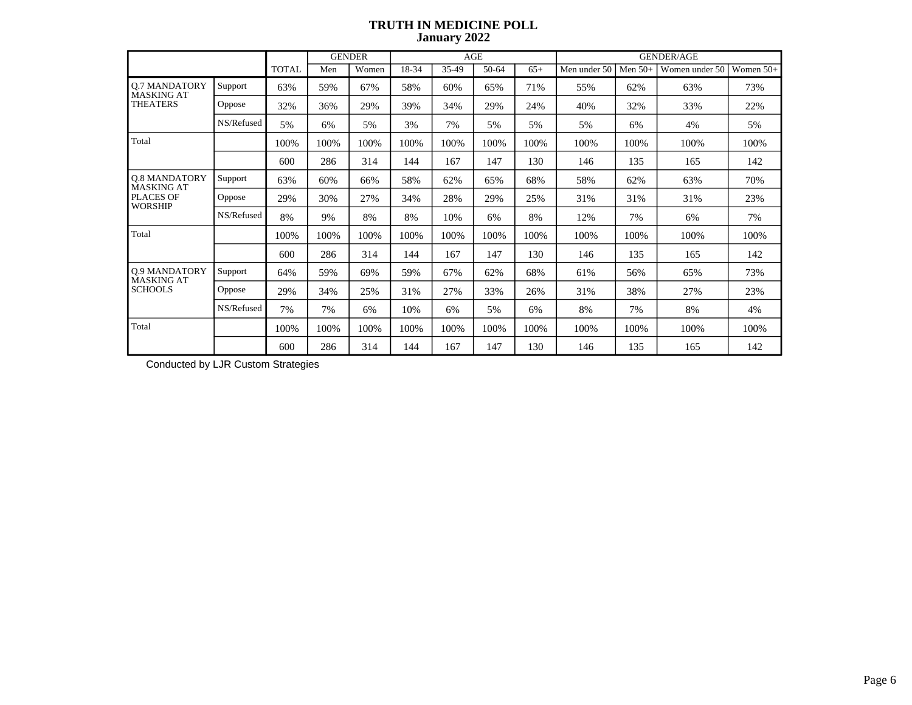|                                                              |            |              | <b>GENDER</b> |       |       |       | AGE   |       | <b>GENDER/AGE</b> |           |                |             |  |
|--------------------------------------------------------------|------------|--------------|---------------|-------|-------|-------|-------|-------|-------------------|-----------|----------------|-------------|--|
|                                                              |            | <b>TOTAL</b> | Men           | Women | 18-34 | 35-49 | 50-64 | $65+$ | Men under 50      | Men $50+$ | Women under 50 | Women $50+$ |  |
| <b>Q.7 MANDATORY</b><br><b>MASKING AT</b><br><b>THEATERS</b> | Support    | 63%          | 59%           | 67%   | 58%   | 60%   | 65%   | 71%   | 55%               | 62%       | 63%            | 73%         |  |
|                                                              | Oppose     | 32%          | 36%           | 29%   | 39%   | 34%   | 29%   | 24%   | 40%               | 32%       | 33%            | 22%         |  |
|                                                              | NS/Refused | 5%           | 6%            | 5%    | 3%    | 7%    | 5%    | 5%    | 5%                | 6%        | 4%             | 5%          |  |
| Total                                                        |            | 100%         | 100%          | 100%  | 100%  | 100%  | 100%  | 100%  | 100%              | 100%      | 100%           | 100%        |  |
|                                                              |            | 600          | 286           | 314   | 144   | 167   | 147   | 130   | 146               | 135       | 165            | 142         |  |
| Q.8 MANDATORY<br><b>MASKING AT</b>                           | Support    | 63%          | 60%           | 66%   | 58%   | 62%   | 65%   | 68%   | 58%               | 62%       | 63%            | 70%         |  |
| <b>PLACES OF</b><br><b>WORSHIP</b>                           | Oppose     | 29%          | 30%           | 27%   | 34%   | 28%   | 29%   | 25%   | 31%               | 31%       | 31%            | 23%         |  |
|                                                              | NS/Refused | 8%           | 9%            | 8%    | 8%    | 10%   | 6%    | 8%    | 12%               | 7%        | 6%             | 7%          |  |
| Total                                                        |            | 100%         | 100%          | 100%  | 100%  | 100%  | 100%  | 100%  | 100%              | 100%      | 100%           | 100%        |  |
|                                                              |            | 600          | 286           | 314   | 144   | 167   | 147   | 130   | 146               | 135       | 165            | 142         |  |
| <b>Q.9 MANDATORY</b><br><b>MASKING AT</b>                    | Support    | 64%          | 59%           | 69%   | 59%   | 67%   | 62%   | 68%   | 61%               | 56%       | 65%            | 73%         |  |
| <b>SCHOOLS</b>                                               | Oppose     | 29%          | 34%           | 25%   | 31%   | 27%   | 33%   | 26%   | 31%               | 38%       | 27%            | 23%         |  |
|                                                              | NS/Refused | 7%           | 7%            | 6%    | 10%   | 6%    | 5%    | 6%    | 8%                | 7%        | 8%             | 4%          |  |
| Total                                                        |            | 100%         | 100%          | 100%  | 100%  | 100%  | 100%  | 100%  | 100%              | 100%      | 100%           | 100%        |  |
|                                                              |            | 600          | 286           | 314   | 144   | 167   | 147   | 130   | 146               | 135       | 165            | 142         |  |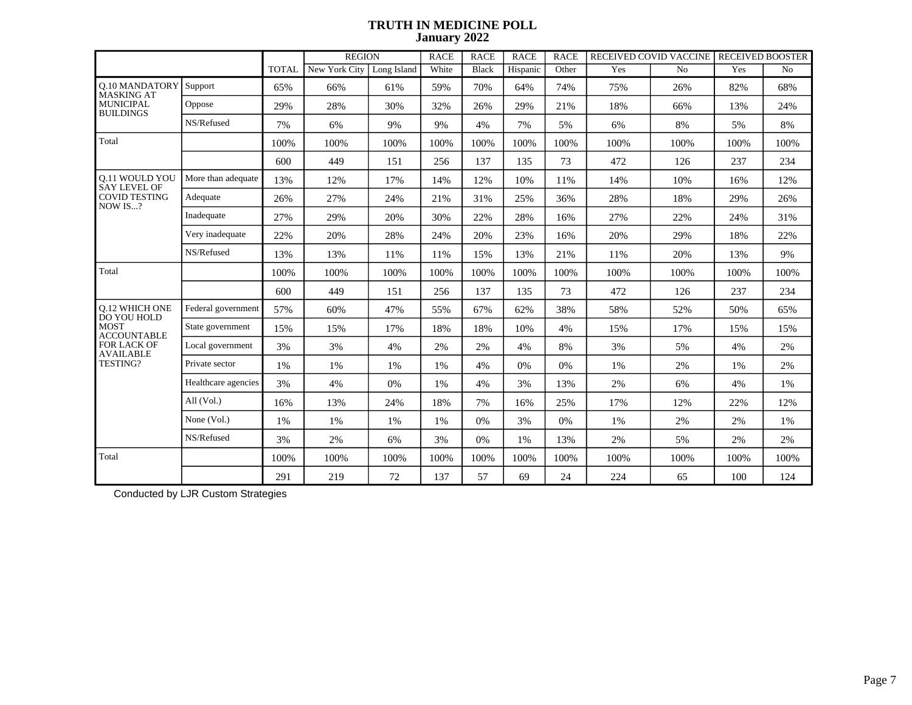|                                              |                     |              | <b>REGION</b> |             | <b>RACE</b> | <b>RACE</b>  | <b>RACE</b> | <b>RACE</b> |      | RECEIVED COVID VACCINE | <b>RECEIVED BOOSTER</b> |                |
|----------------------------------------------|---------------------|--------------|---------------|-------------|-------------|--------------|-------------|-------------|------|------------------------|-------------------------|----------------|
|                                              |                     | <b>TOTAL</b> | New York City | Long Island | White       | <b>Black</b> | Hispanic    | Other       | Yes  | N <sub>o</sub>         | Yes                     | N <sub>o</sub> |
| <b>0.10 MANDATORY</b><br>MASKING AT          | Support             | 65%          | 66%           | 61%         | 59%         | 70%          | 64%         | 74%         | 75%  | 26%                    | 82%                     | 68%            |
| <b>MUNICIPAL</b><br><b>BUILDINGS</b>         | Oppose              | 29%          | 28%           | 30%         | 32%         | 26%          | 29%         | 21%         | 18%  | 66%                    | 13%                     | 24%            |
|                                              | NS/Refused          | 7%           | 6%            | 9%          | 9%          | 4%           | 7%          | 5%          | 6%   | 8%                     | 5%                      | 8%             |
| Total                                        |                     | 100%         | 100%          | 100%        | 100%        | 100%         | 100%        | 100%        | 100% | 100%                   | 100%                    | 100%           |
|                                              |                     | 600          | 449           | 151         | 256         | 137          | 135         | 73          | 472  | 126                    | 237                     | 234            |
| <b>0.11 WOULD YOU</b><br><b>SAY LEVEL OF</b> | More than adequate  | 13%          | 12%           | 17%         | 14%         | 12%          | 10%         | 11%         | 14%  | 10%                    | 16%                     | 12%            |
| <b>COVID TESTING</b><br>NOW IS?              | Adequate            | 26%          | 27%           | 24%         | 21%         | 31%          | 25%         | 36%         | 28%  | 18%                    | 29%                     | 26%            |
|                                              | Inadequate          | 27%          | 29%           | 20%         | 30%         | 22%          | 28%         | 16%         | 27%  | 22%                    | 24%                     | 31%            |
|                                              | Very inadequate     | 22%          | 20%           | 28%         | 24%         | 20%          | 23%         | 16%         | 20%  | 29%                    | 18%                     | 22%            |
|                                              | NS/Refused          | 13%          | 13%           | 11%         | 11%         | 15%          | 13%         | 21%         | 11%  | 20%                    | 13%                     | 9%             |
| Total                                        |                     | 100%         | 100%          | 100%        | 100%        | 100%         | 100%        | 100%        | 100% | 100%                   | 100%                    | 100%           |
|                                              |                     | 600          | 449           | 151         | 256         | 137          | 135         | 73          | 472  | 126                    | 237                     | 234            |
| <b>O.12 WHICH ONE</b><br>DO YOU HOLD         | Federal government  | 57%          | 60%           | 47%         | 55%         | 67%          | 62%         | 38%         | 58%  | 52%                    | 50%                     | 65%            |
| <b>MOST</b><br><b>ACCOUNTABLE</b>            | State government    | 15%          | 15%           | 17%         | 18%         | 18%          | 10%         | 4%          | 15%  | 17%                    | 15%                     | 15%            |
| <b>FOR LACK OF</b><br><b>AVAILABLE</b>       | Local government    | 3%           | 3%            | 4%          | 2%          | 2%           | 4%          | 8%          | 3%   | 5%                     | 4%                      | 2%             |
| TESTING?                                     | Private sector      | 1%           | 1%            | 1%          | 1%          | 4%           | 0%          | 0%          | 1%   | 2%                     | 1%                      | 2%             |
|                                              | Healthcare agencies | 3%           | 4%            | 0%          | 1%          | 4%           | 3%          | 13%         | 2%   | 6%                     | 4%                      | 1%             |
|                                              | All $(Vol.)$        | 16%          | 13%           | 24%         | 18%         | 7%           | 16%         | 25%         | 17%  | 12%                    | 22%                     | 12%            |
|                                              | None (Vol.)         | 1%           | 1%            | 1%          | 1%          | 0%           | 3%          | 0%          | 1%   | 2%                     | 2%                      | 1%             |
|                                              | NS/Refused          | 3%           | 2%            | 6%          | 3%          | 0%           | 1%          | 13%         | 2%   | 5%                     | 2%                      | 2%             |
| Total                                        |                     | 100%         | 100%          | 100%        | 100%        | 100%         | 100%        | 100%        | 100% | 100%                   | 100%                    | 100%           |
|                                              |                     | 291          | 219           | 72          | 137         | 57           | 69          | 24          | 224  | 65                     | 100                     | 124            |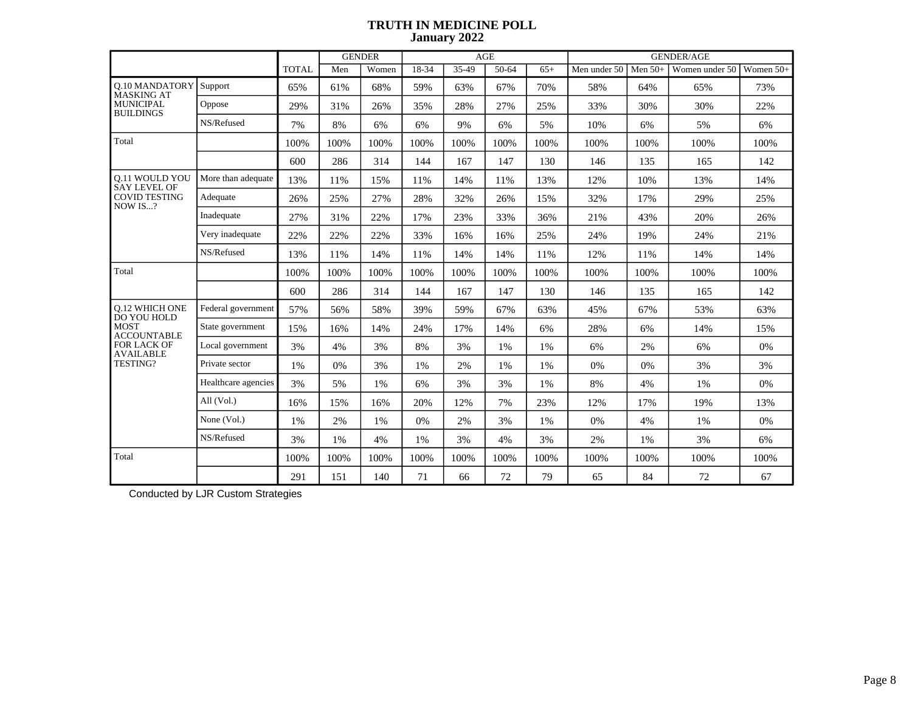|                                            |                     |              |      | <b>GENDER</b> |       |       | AGE     |       |              |           | <b>GENDER/AGE</b> |           |
|--------------------------------------------|---------------------|--------------|------|---------------|-------|-------|---------|-------|--------------|-----------|-------------------|-----------|
|                                            |                     | <b>TOTAL</b> | Men  | Women         | 18-34 | 35-49 | $50-64$ | $65+$ | Men under 50 | Men $50+$ | Women under 50    | Women 50+ |
| <b>O.10 MANDATORY</b><br><b>MASKING AT</b> | Support             | 65%          | 61%  | 68%           | 59%   | 63%   | 67%     | 70%   | 58%          | 64%       | 65%               | 73%       |
| <b>MUNICIPAL</b><br><b>BUILDINGS</b>       | Oppose              | 29%          | 31%  | 26%           | 35%   | 28%   | 27%     | 25%   | 33%          | 30%       | 30%               | 22%       |
|                                            | NS/Refused          | 7%           | 8%   | 6%            | 6%    | 9%    | 6%      | 5%    | 10%          | 6%        | 5%                | 6%        |
| Total                                      |                     | 100%         | 100% | 100%          | 100%  | 100%  | 100%    | 100%  | 100%         | 100%      | 100%              | 100%      |
|                                            |                     | 600          | 286  | 314           | 144   | 167   | 147     | 130   | 146          | 135       | 165               | 142       |
| 0.11 WOULD YOU<br><b>SAY LEVEL OF</b>      | More than adequate  | 13%          | 11%  | 15%           | 11%   | 14%   | 11%     | 13%   | 12%          | 10%       | 13%               | 14%       |
| <b>COVID TESTING</b><br>NOW IS?            | Adequate            | 26%          | 25%  | 27%           | 28%   | 32%   | 26%     | 15%   | 32%          | 17%       | 29%               | 25%       |
|                                            | Inadequate          | 27%          | 31%  | 22%           | 17%   | 23%   | 33%     | 36%   | 21%          | 43%       | 20%               | 26%       |
|                                            | Very inadequate     | 22%          | 22%  | 22%           | 33%   | 16%   | 16%     | 25%   | 24%          | 19%       | 24%               | 21%       |
|                                            | NS/Refused          | 13%          | 11%  | 14%           | 11%   | 14%   | 14%     | 11%   | 12%          | 11%       | 14%               | 14%       |
| Total                                      |                     | 100%         | 100% | 100%          | 100%  | 100%  | 100%    | 100%  | 100%         | 100%      | 100%              | 100%      |
|                                            |                     | 600          | 286  | 314           | 144   | 167   | 147     | 130   | 146          | 135       | 165               | 142       |
| <b>0.12 WHICH ONE</b><br>DO YOU HOLD       | Federal government  | 57%          | 56%  | 58%           | 39%   | 59%   | 67%     | 63%   | 45%          | 67%       | 53%               | 63%       |
| <b>MOST</b><br><b>ACCOUNTABLE</b>          | State government    | 15%          | 16%  | 14%           | 24%   | 17%   | 14%     | 6%    | 28%          | 6%        | 14%               | 15%       |
| FOR LACK OF<br><b>AVAILABLE</b>            | Local government    | 3%           | 4%   | 3%            | 8%    | 3%    | 1%      | 1%    | 6%           | 2%        | 6%                | 0%        |
| TESTING?                                   | Private sector      | 1%           | 0%   | 3%            | 1%    | 2%    | $1\%$   | 1%    | 0%           | 0%        | 3%                | 3%        |
|                                            | Healthcare agencies | 3%           | 5%   | 1%            | 6%    | 3%    | 3%      | 1%    | $8\%$        | 4%        | 1%                | $0\%$     |
|                                            | All $(Vol.)$        | 16%          | 15%  | 16%           | 20%   | 12%   | 7%      | 23%   | 12%          | 17%       | 19%               | 13%       |
|                                            | None (Vol.)         | 1%           | 2%   | 1%            | 0%    | 2%    | 3%      | 1%    | 0%           | 4%        | 1%                | 0%        |
|                                            | NS/Refused          | 3%           | 1%   | 4%            | 1%    | 3%    | 4%      | 3%    | 2%           | 1%        | 3%                | 6%        |
| Total                                      |                     | 100%         | 100% | 100%          | 100%  | 100%  | 100%    | 100%  | 100%         | 100%      | 100%              | 100%      |
|                                            |                     | 291          | 151  | 140           | 71    | 66    | 72      | 79    | 65           | 84        | 72                | 67        |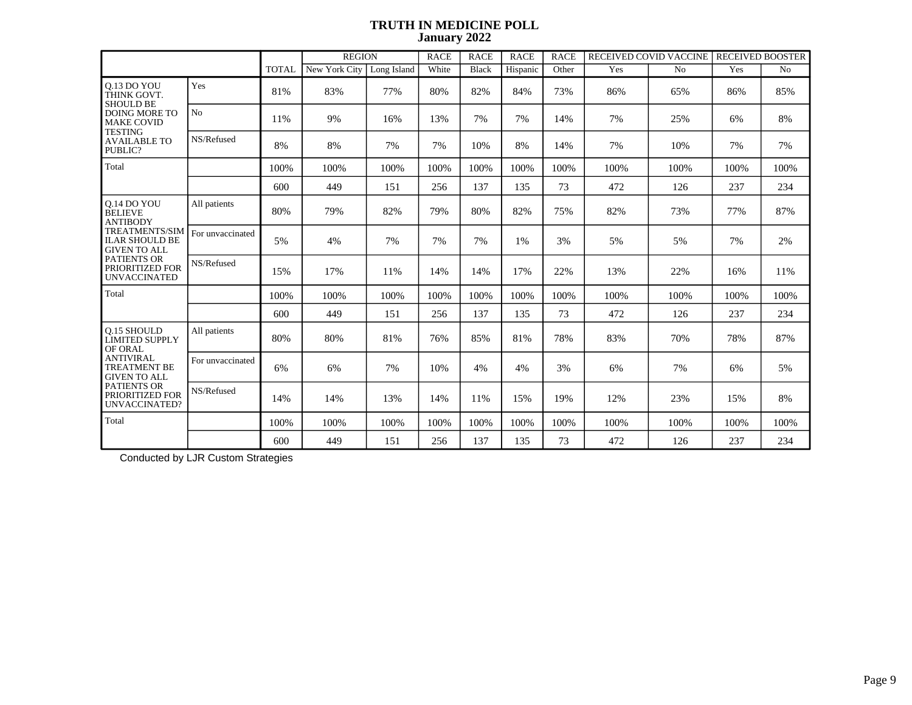|                                                                       |                  |              | <b>REGION</b> |             | <b>RACE</b> | <b>RACE</b> | <b>RACE</b> | <b>RACE</b> | RECEIVED COVID VACCINE |                | <b>RECEIVED BOOSTER</b> |                |
|-----------------------------------------------------------------------|------------------|--------------|---------------|-------------|-------------|-------------|-------------|-------------|------------------------|----------------|-------------------------|----------------|
|                                                                       |                  | <b>TOTAL</b> | New York City | Long Island | White       | Black       | Hispanic    | Other       | Yes                    | N <sub>o</sub> | Yes                     | N <sub>o</sub> |
| 0.13 DO YOU<br>THINK GOVT.<br><b>SHOULD BE</b>                        | Yes              | 81%          | 83%           | 77%         | 80%         | 82%         | 84%         | 73%         | 86%                    | 65%            | 86%                     | 85%            |
| <b>DOING MORE TO</b><br><b>MAKE COVID</b>                             | N <sub>o</sub>   | 11%          | 9%            | 16%         | 13%         | 7%          | 7%          | 14%         | 7%                     | 25%            | 6%                      | 8%             |
| <b>TESTING</b><br><b>AVAILABLE TO</b><br>PUBLIC?                      | NS/Refused       | 8%           | 8%            | 7%          | 7%          | 10%         | 8%          | 14%         | 7%                     | 10%            | 7%                      | 7%             |
| Total                                                                 |                  | 100%         | 100%          | 100%        | 100%        | 100%        | 100%        | 100%        | 100%                   | 100%           | 100%                    | 100%           |
|                                                                       |                  | 600          | 449           | 151         | 256         | 137         | 135         | 73          | 472                    | 126            | 237                     | 234            |
| 0.14 DO YOU<br><b>BELIEVE</b><br><b>ANTIBODY</b>                      | All patients     | 80%          | 79%           | 82%         | 79%         | 80%         | 82%         | 75%         | 82%                    | 73%            | 77%                     | 87%            |
| <b>TREATMENTS/SIM</b><br><b>ILAR SHOULD BE</b><br><b>GIVEN TO ALL</b> | For unvaccinated | 5%           | 4%            | 7%          | 7%          | 7%          | 1%          | 3%          | 5%                     | 5%             | 7%                      | 2%             |
| PATIENTS OR<br>PRIORITIZED FOR<br><b>UNVACCINATED</b>                 | NS/Refused       | 15%          | 17%           | 11%         | 14%         | 14%         | 17%         | 22%         | 13%                    | 22%            | 16%                     | 11%            |
| Total                                                                 |                  | 100%         | 100%          | 100%        | 100%        | 100%        | 100%        | 100%        | 100%                   | 100%           | 100%                    | 100%           |
|                                                                       |                  | 600          | 449           | 151         | 256         | 137         | 135         | 73          | 472                    | 126            | 237                     | 234            |
| <b>O.15 SHOULD</b><br><b>LIMITED SUPPLY</b><br>OF ORAL                | All patients     | 80%          | 80%           | 81%         | 76%         | 85%         | 81%         | 78%         | 83%                    | 70%            | 78%                     | 87%            |
| <b>ANTIVIRAL</b><br><b>TREATMENT BE</b><br><b>GIVEN TO ALL</b>        | For unvaccinated | 6%           | 6%            | 7%          | 10%         | 4%          | 4%          | 3%          | 6%                     | 7%             | 6%                      | 5%             |
| <b>PATIENTS OR</b><br>PRIORITIZED FOR<br>UNVACCINATED?                | NS/Refused       | 14%          | 14%           | 13%         | 14%         | 11%         | 15%         | 19%         | 12%                    | 23%            | 15%                     | 8%             |
| Total                                                                 |                  | 100%         | 100%          | 100%        | 100%        | 100%        | 100%        | 100%        | 100%                   | 100%           | 100%                    | 100%           |
|                                                                       |                  | 600          | 449           | 151         | 256         | 137         | 135         | 73          | 472                    | 126            | 237                     | 234            |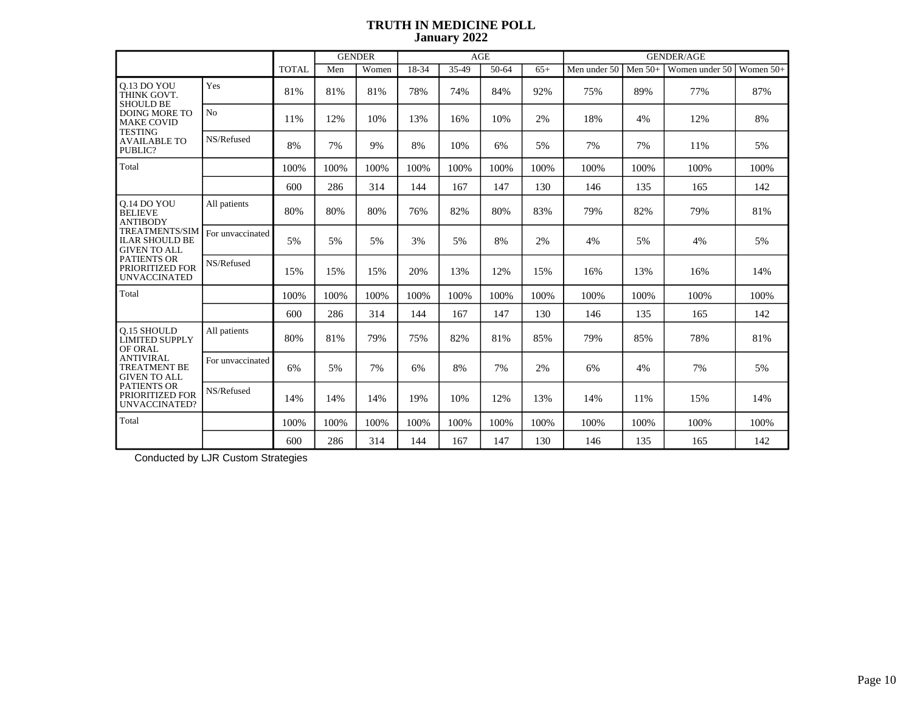|                                                                       |                  |              |      | <b>GENDER</b> |       | <b>AGE</b> |       |       | <b>GENDER/AGE</b> |           |                |             |  |
|-----------------------------------------------------------------------|------------------|--------------|------|---------------|-------|------------|-------|-------|-------------------|-----------|----------------|-------------|--|
|                                                                       |                  | <b>TOTAL</b> | Men  | Women         | 18-34 | 35-49      | 50-64 | $65+$ | Men under 50      | Men $50+$ | Women under 50 | Women $50+$ |  |
| 0.13 DO YOU<br>THINK GOVT.<br><b>SHOULD BE</b>                        | Yes              | 81%          | 81%  | 81%           | 78%   | 74%        | 84%   | 92%   | 75%               | 89%       | 77%            | 87%         |  |
| <b>DOING MORE TO</b><br><b>MAKE COVID</b><br><b>TESTING</b>           | No               | 11%          | 12%  | 10%           | 13%   | 16%        | 10%   | 2%    | 18%               | 4%        | 12%            | 8%          |  |
| <b>AVAILABLE TO</b><br>PUBLIC?                                        | NS/Refused       | 8%           | 7%   | 9%            | 8%    | 10%        | 6%    | 5%    | 7%                | 7%        | 11%            | 5%          |  |
| Total                                                                 |                  | 100%         | 100% | 100%          | 100%  | 100%       | 100%  | 100%  | 100%              | 100%      | 100%           | 100%        |  |
|                                                                       |                  | 600          | 286  | 314           | 144   | 167        | 147   | 130   | 146               | 135       | 165            | 142         |  |
| 0.14 DO YOU<br><b>BELIEVE</b><br><b>ANTIBODY</b>                      | All patients     | 80%          | 80%  | 80%           | 76%   | 82%        | 80%   | 83%   | 79%               | 82%       | 79%            | 81%         |  |
| <b>TREATMENTS/SIM</b><br><b>ILAR SHOULD BE</b><br><b>GIVEN TO ALL</b> | For unvaccinated | 5%           | 5%   | 5%            | 3%    | 5%         | 8%    | 2%    | 4%                | 5%        | 4%             | 5%          |  |
| <b>PATIENTS OR</b><br>PRIORITIZED FOR<br><b>UNVACCINATED</b>          | NS/Refused       | 15%          | 15%  | 15%           | 20%   | 13%        | 12%   | 15%   | 16%               | 13%       | 16%            | 14%         |  |
| Total                                                                 |                  | 100%         | 100% | 100%          | 100%  | 100%       | 100%  | 100%  | 100%              | 100%      | 100%           | 100%        |  |
|                                                                       |                  | 600          | 286  | 314           | 144   | 167        | 147   | 130   | 146               | 135       | 165            | 142         |  |
| <b>O.15 SHOULD</b><br><b>LIMITED SUPPLY</b><br>OF ORAL                | All patients     | 80%          | 81%  | 79%           | 75%   | 82%        | 81%   | 85%   | 79%               | 85%       | 78%            | 81%         |  |
| <b>ANTIVIRAL</b><br><b>TREATMENT BE</b><br><b>GIVEN TO ALL</b>        | For unvaccinated | 6%           | 5%   | 7%            | 6%    | 8%         | 7%    | 2%    | 6%                | 4%        | 7%             | 5%          |  |
| <b>PATIENTS OR</b><br>PRIORITIZED FOR<br>UNVACCINATED?                | NS/Refused       | 14%          | 14%  | 14%           | 19%   | 10%        | 12%   | 13%   | 14%               | 11%       | 15%            | 14%         |  |
| Total                                                                 |                  | 100%         | 100% | 100%          | 100%  | 100%       | 100%  | 100%  | 100%              | 100%      | 100%           | 100%        |  |
|                                                                       |                  | 600          | 286  | 314           | 144   | 167        | 147   | 130   | 146               | 135       | 165            | 142         |  |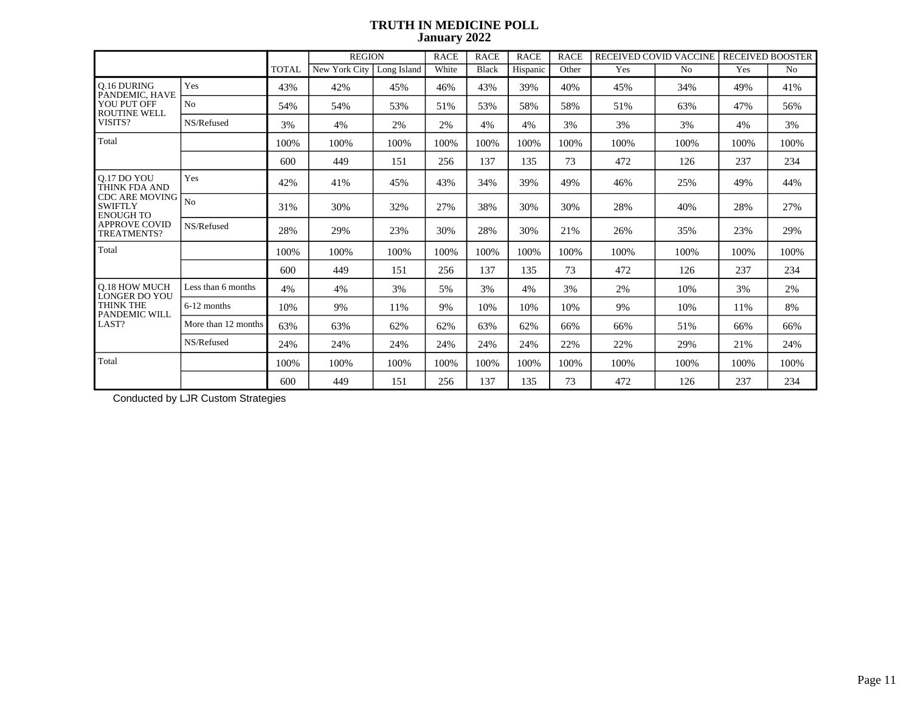|                                                             |                     |              | <b>REGION</b> |             | <b>RACE</b> | <b>RACE</b> | <b>RACE</b> | <b>RACE</b> | RECEIVED COVID VACCINE |                | <b>RECEIVED BOOSTER</b> |                |
|-------------------------------------------------------------|---------------------|--------------|---------------|-------------|-------------|-------------|-------------|-------------|------------------------|----------------|-------------------------|----------------|
|                                                             |                     | <b>TOTAL</b> | New York City | Long Island | White       | Black       | Hispanic    | Other       | Yes                    | N <sub>0</sub> | Yes                     | N <sub>o</sub> |
| <b>O.16 DURING</b><br>PANDEMIC, HAVE                        | Yes                 | 43%          | 42%           | 45%         | 46%         | 43%         | 39%         | 40%         | 45%                    | 34%            | 49%                     | 41%            |
| YOU PUT OFF<br><b>ROUTINE WELL</b>                          | No                  | 54%          | 54%           | 53%         | 51%         | 53%         | 58%         | 58%         | 51%                    | 63%            | 47%                     | 56%            |
| VISITS?                                                     | NS/Refused          | 3%           | 4%            | 2%          | 2%          | 4%          | 4%          | 3%          | 3%                     | 3%             | 4%                      | 3%             |
| Total                                                       |                     | 100%         | 100%          | 100%        | 100%        | 100%        | 100%        | 100%        | 100%                   | 100%           | 100%                    | 100%           |
|                                                             |                     | 600          | 449           | 151         | 256         | 137         | 135         | 73          | 472                    | 126            | 237                     | 234            |
| 0.17 DO YOU<br>THINK FDA AND                                | Yes                 | 42%          | 41%           | 45%         | 43%         | 34%         | 39%         | 49%         | 46%                    | 25%            | 49%                     | 44%            |
| <b>CDC ARE MOVING</b><br><b>SWIFTLY</b><br><b>ENOUGH TO</b> | N <sub>o</sub>      | 31%          | 30%           | 32%         | 27%         | 38%         | 30%         | 30%         | 28%                    | 40%            | 28%                     | 27%            |
| <b>APPROVE COVID</b><br>TREATMENTS?                         | NS/Refused          | 28%          | 29%           | 23%         | 30%         | 28%         | 30%         | 21%         | 26%                    | 35%            | 23%                     | 29%            |
| Total                                                       |                     | 100%         | 100%          | 100%        | 100%        | 100%        | 100%        | 100%        | 100%                   | 100%           | 100%                    | 100%           |
|                                                             |                     | 600          | 449           | 151         | 256         | 137         | 135         | 73          | 472                    | 126            | 237                     | 234            |
| <b>O.18 HOW MUCH</b><br><b>LONGER DO YOU</b>                | Less than 6 months  | 4%           | 4%            | 3%          | 5%          | 3%          | 4%          | 3%          | 2%                     | 10%            | 3%                      | 2%             |
| <b>THINK THE</b><br><b>PANDEMIC WILL</b>                    | 6-12 months         | 10%          | 9%            | 11%         | 9%          | 10%         | 10%         | 10%         | 9%                     | 10%            | 11%                     | 8%             |
| LAST?                                                       | More than 12 months | 63%          | 63%           | 62%         | 62%         | 63%         | 62%         | 66%         | 66%                    | 51%            | 66%                     | 66%            |
|                                                             | NS/Refused          | 24%          | 24%           | 24%         | 24%         | 24%         | 24%         | 22%         | 22%                    | 29%            | 21%                     | 24%            |
| Total                                                       |                     | 100%         | 100%          | 100%        | 100%        | 100%        | 100%        | 100%        | 100%                   | 100%           | 100%                    | 100%           |
|                                                             |                     | 600          | 449           | 151         | 256         | 137         | 135         | 73          | 472                    | 126            | 237                     | 234            |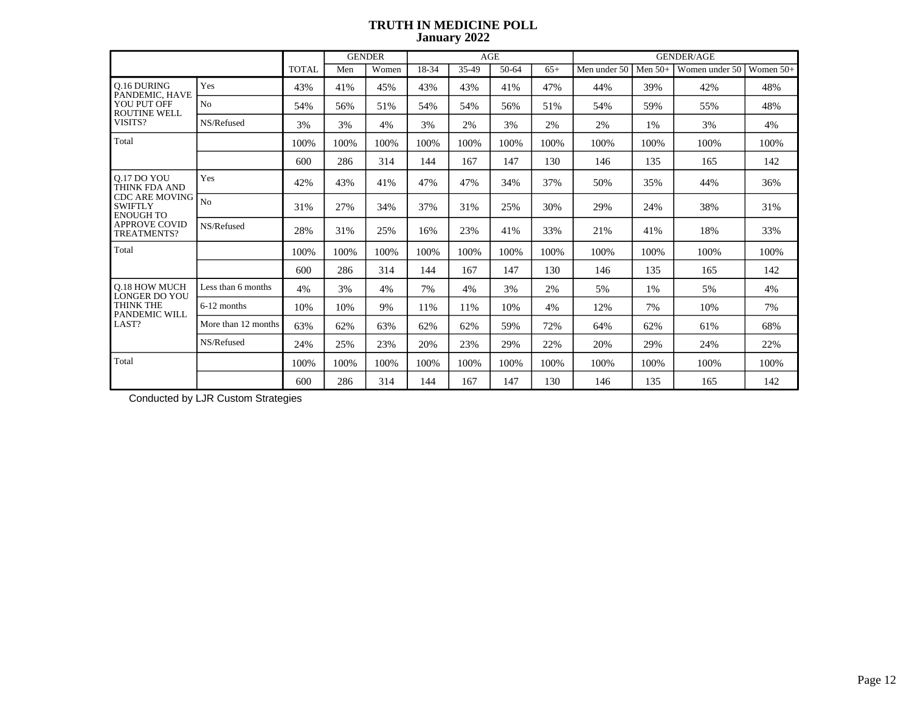|                                                                                              |                     |              |      | <b>GENDER</b> |       | AGE   |       |       |              |           | <b>GENDER/AGE</b> |             |
|----------------------------------------------------------------------------------------------|---------------------|--------------|------|---------------|-------|-------|-------|-------|--------------|-----------|-------------------|-------------|
|                                                                                              |                     | <b>TOTAL</b> | Men  | Women         | 18-34 | 35-49 | 50-64 | $65+$ | Men under 50 | Men $50+$ | Women under 50    | Women $50+$ |
| O.16 DURING<br>PANDEMIC, HAVE                                                                | Yes                 | 43%          | 41%  | 45%           | 43%   | 43%   | 41%   | 47%   | 44%          | 39%       | 42%               | 48%         |
| YOU PUT OFF<br><b>ROUTINE WELL</b>                                                           | N <sub>0</sub>      | 54%          | 56%  | 51%           | 54%   | 54%   | 56%   | 51%   | 54%          | 59%       | 55%               | 48%         |
| VISITS?                                                                                      | NS/Refused          | 3%           | 3%   | 4%            | 3%    | 2%    | 3%    | 2%    | 2%           | 1%        | 3%                | 4%          |
| Total                                                                                        |                     | 100%         | 100% | 100%          | 100%  | 100%  | 100%  | 100%  | 100%         | 100%      | 100%              | 100%        |
|                                                                                              |                     | 600          | 286  | 314           | 144   | 167   | 147   | 130   | 146          | 135       | 165               | 142         |
| <b>Q.17 DO YOU<br/>THINK FDA AND</b><br><b>CDC ARE MOVING</b><br>SWIFTLY<br><b>ENOUGH TO</b> | Yes                 | 42%          | 43%  | 41%           | 47%   | 47%   | 34%   | 37%   | 50%          | 35%       | 44%               | 36%         |
|                                                                                              | N <sub>o</sub>      | 31%          | 27%  | 34%           | 37%   | 31%   | 25%   | 30%   | 29%          | 24%       | 38%               | 31%         |
| <b>APPROVE COVID</b><br>TREATMENTS?                                                          | NS/Refused          | 28%          | 31%  | 25%           | 16%   | 23%   | 41%   | 33%   | 21%          | 41%       | 18%               | 33%         |
| Total                                                                                        |                     | 100%         | 100% | 100%          | 100%  | 100%  | 100%  | 100%  | 100\%        | 100%      | 100%              | 100%        |
|                                                                                              |                     | 600          | 286  | 314           | 144   | 167   | 147   | 130   | 146          | 135       | 165               | 142         |
| <b>O.18 HOW MUCH</b><br><b>LONGER DO YOU</b>                                                 | Less than 6 months  | 4%           | 3%   | 4%            | 7%    | 4%    | 3%    | 2%    | 5%           | 1%        | 5%                | 4%          |
| THINK THE<br>PANDEMIC WILL                                                                   | 6-12 months         | 10%          | 10%  | 9%            | 11%   | 11%   | 10%   | 4%    | 12%          | 7%        | 10%               | 7%          |
| LAST?                                                                                        | More than 12 months | 63%          | 62%  | 63%           | 62%   | 62%   | 59%   | 72%   | 64%          | 62%       | 61%               | 68%         |
|                                                                                              | NS/Refused          | 24%          | 25%  | 23%           | 20%   | 23%   | 29%   | 22%   | 20%          | 29%       | 24%               | 22%         |
| Total                                                                                        |                     | 100%         | 100% | 100%          | 100%  | 100%  | 100%  | 100%  | 100\%        | 100%      | 100%              | 100%        |
|                                                                                              |                     | 600          | 286  | 314           | 144   | 167   | 147   | 130   | 146          | 135       | 165               | 142         |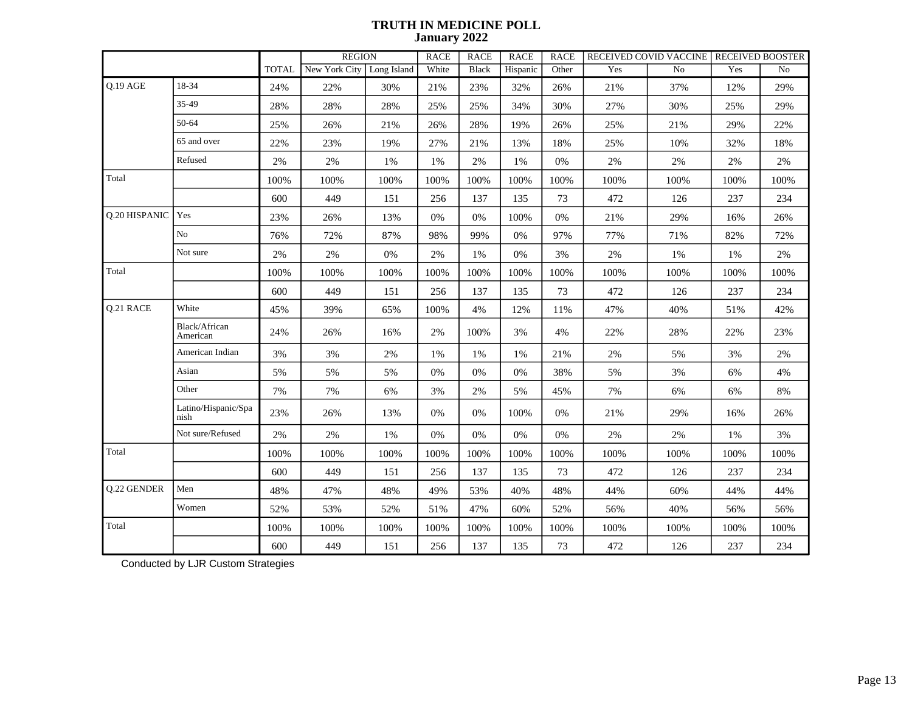|               |                             |              | <b>REGION</b>               |        | <b>RACE</b> | <b>RACE</b>  | <b>RACE</b> | <b>RACE</b> |       | RECEIVED COVID VACCINE RECEIVED BOOSTER |       |                |
|---------------|-----------------------------|--------------|-----------------------------|--------|-------------|--------------|-------------|-------------|-------|-----------------------------------------|-------|----------------|
|               |                             | <b>TOTAL</b> | New York City   Long Island |        | White       | <b>Black</b> | Hispanic    | Other       | Yes   | No                                      | Yes   | N <sub>o</sub> |
| Q.19 AGE      | 18-34                       | 24%          | 22%                         | 30%    | 21%         | 23%          | 32%         | 26%         | 21%   | 37%                                     | 12%   | 29%            |
|               | 35-49                       | 28%          | 28%                         | 28%    | 25%         | 25%          | 34%         | 30%         | 27%   | 30%                                     | 25%   | 29%            |
|               | 50-64                       | 25%          | 26%                         | $21\%$ | 26%         | 28%          | 19%         | 26%         | 25%   | 21%                                     | 29%   | 22%            |
|               | 65 and over                 | 22%          | 23%                         | 19%    | 27%         | 21%          | 13%         | 18%         | 25%   | 10%                                     | 32%   | 18%            |
|               | Refused                     | $2\%$        | 2%                          | 1%     | 1%          | 2%           | 1%          | $0\%$       | 2%    | $2\%$                                   | $2\%$ | 2%             |
| Total         |                             | 100%         | 100%                        | 100%   | 100%        | 100%         | 100%        | 100%        | 100%  | 100%                                    | 100%  | 100%           |
|               |                             | 600          | 449                         | 151    | 256         | 137          | 135         | 73          | 472   | 126                                     | 237   | 234            |
| Q.20 HISPANIC | Yes                         | 23%          | 26%                         | 13%    | $0\%$       | $0\%$        | 100%        | $0\%$       | 21%   | 29%                                     | 16%   | 26%            |
|               | No                          | 76%          | 72%                         | 87%    | 98%         | 99%          | 0%          | 97%         | 77%   | 71%                                     | 82%   | 72%            |
|               | Not sure                    | $2\%$        | 2%                          | 0%     | 2%          | 1%           | 0%          | 3%          | 2%    | 1%                                      | 1%    | 2%             |
| Total         |                             | 100%         | 100%                        | 100%   | 100%        | 100%         | 100%        | 100%        | 100%  | 100%                                    | 100%  | 100%           |
|               |                             | 600          | 449                         | 151    | 256         | 137          | 135         | 73          | 472   | 126                                     | 237   | 234            |
| Q.21 RACE     | White                       | 45%          | 39%                         | 65%    | 100%        | 4%           | 12%         | 11%         | 47%   | 40%                                     | 51%   | 42%            |
|               | Black/African<br>American   | 24%          | 26%                         | 16%    | 2%          | 100%         | 3%          | 4%          | 22%   | 28%                                     | 22%   | 23%            |
|               | American Indian             | 3%           | $3\%$                       | $2\%$  | 1%          | $1\%$        | 1%          | 21%         | $2\%$ | $5\%$                                   | 3%    | $2\%$          |
|               | Asian                       | 5%           | 5%                          | 5%     | 0%          | $0\%$        | 0%          | 38%         | 5%    | 3%                                      | 6%    | $4\%$          |
|               | Other                       | 7%           | 7%                          | 6%     | 3%          | $2\%$        | 5%          | 45%         | 7%    | 6%                                      | 6%    | $8\%$          |
|               | Latino/Hispanic/Spa<br>nish | 23%          | 26%                         | 13%    | 0%          | $0\%$        | 100%        | $0\%$       | 21%   | 29%                                     | 16%   | 26%            |
|               | Not sure/Refused            | 2%           | $2\%$                       | $1\%$  | $0\%$       | $0\%$        | $0\%$       | $0\%$       | $2\%$ | $2\%$                                   | $1\%$ | $3\%$          |
| Total         |                             | 100%         | 100%                        | 100%   | 100%        | 100%         | 100%        | 100%        | 100%  | 100%                                    | 100%  | 100%           |
|               |                             | 600          | 449                         | 151    | 256         | 137          | 135         | 73          | 472   | 126                                     | 237   | 234            |
| Q.22 GENDER   | Men                         | 48%          | 47%                         | 48%    | 49%         | 53%          | 40%         | 48%         | 44%   | 60%                                     | 44%   | 44%            |
|               | Women                       | 52%          | 53%                         | 52%    | 51%         | 47%          | 60%         | 52%         | 56%   | 40%                                     | 56%   | 56%            |
| Total         |                             | 100%         | 100%                        | 100%   | 100%        | 100%         | 100%        | 100%        | 100%  | 100%                                    | 100%  | 100%           |
|               |                             | 600          | 449                         | 151    | 256         | 137          | 135         | 73          | 472   | 126                                     | 237   | 234            |